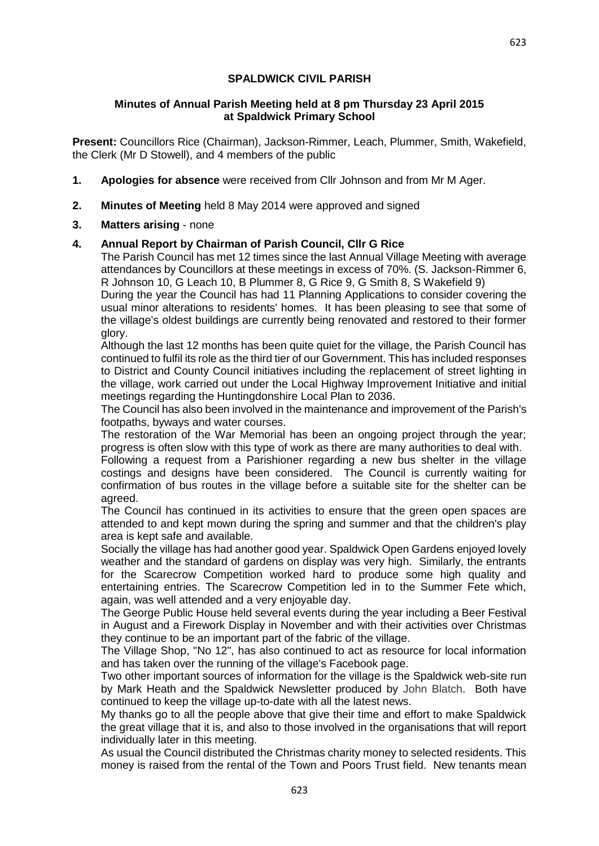### **SPALDWICK CIVIL PARISH**

#### **Minutes of Annual Parish Meeting held at 8 pm Thursday 23 April 2015 at Spaldwick Primary School**

**Present:** Councillors Rice (Chairman), Jackson-Rimmer, Leach, Plummer, Smith, Wakefield, the Clerk (Mr D Stowell), and 4 members of the public

- **1. Apologies for absence** were received from Cllr Johnson and from Mr M Ager.
- **2. Minutes of Meeting** held 8 May 2014 were approved and signed
- **3. Matters arising**  none

## **4. Annual Report by Chairman of Parish Council, Cllr G Rice**

The Parish Council has met 12 times since the last Annual Village Meeting with average attendances by Councillors at these meetings in excess of 70%. (S. Jackson-Rimmer 6, R Johnson 10, G Leach 10, B Plummer 8, G Rice 9, G Smith 8, S Wakefield 9)

During the year the Council has had 11 Planning Applications to consider covering the usual minor alterations to residents' homes. It has been pleasing to see that some of the village's oldest buildings are currently being renovated and restored to their former glory.

Although the last 12 months has been quite quiet for the village, the Parish Council has continued to fulfil its role as the third tier of our Government. This has included responses to District and County Council initiatives including the replacement of street lighting in the village, work carried out under the Local Highway Improvement Initiative and initial meetings regarding the Huntingdonshire Local Plan to 2036.

The Council has also been involved in the maintenance and improvement of the Parish's footpaths, byways and water courses.

The restoration of the War Memorial has been an ongoing project through the year; progress is often slow with this type of work as there are many authorities to deal with.

Following a request from a Parishioner regarding a new bus shelter in the village costings and designs have been considered. The Council is currently waiting for confirmation of bus routes in the village before a suitable site for the shelter can be agreed.

The Council has continued in its activities to ensure that the green open spaces are attended to and kept mown during the spring and summer and that the children's play area is kept safe and available.

Socially the village has had another good year. Spaldwick Open Gardens enjoyed lovely weather and the standard of gardens on display was very high. Similarly, the entrants for the Scarecrow Competition worked hard to produce some high quality and entertaining entries. The Scarecrow Competition led in to the Summer Fete which, again, was well attended and a very enjoyable day.

The George Public House held several events during the year including a Beer Festival in August and a Firework Display in November and with their activities over Christmas they continue to be an important part of the fabric of the village.

The Village Shop, "No 12", has also continued to act as resource for local information and has taken over the running of the village's Facebook page.

Two other important sources of information for the village is the Spaldwick web-site run by Mark Heath and the Spaldwick Newsletter produced by John Blatch. Both have continued to keep the village up-to-date with all the latest news.

My thanks go to all the people above that give their time and effort to make Spaldwick the great village that it is, and also to those involved in the organisations that will report individually later in this meeting.

As usual the Council distributed the Christmas charity money to selected residents. This money is raised from the rental of the Town and Poors Trust field. New tenants mean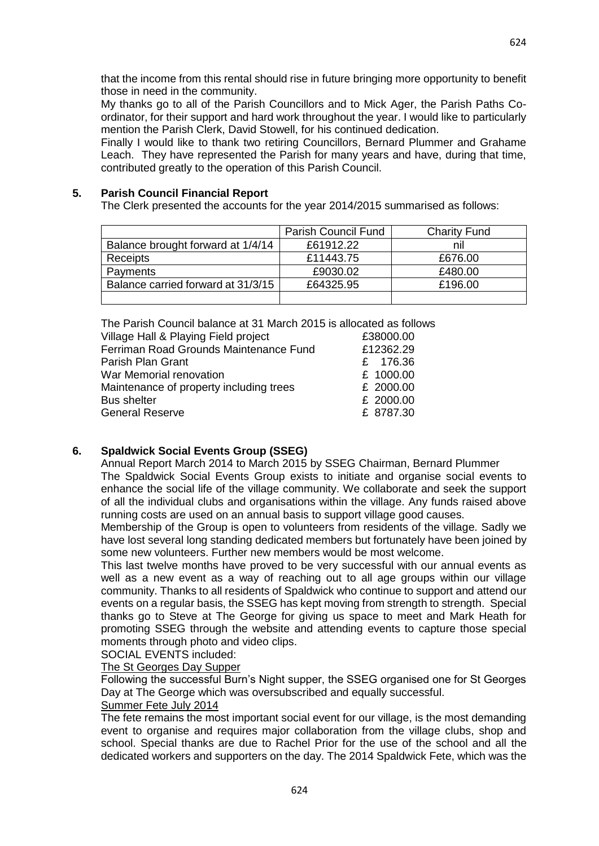that the income from this rental should rise in future bringing more opportunity to benefit those in need in the community.

My thanks go to all of the Parish Councillors and to Mick Ager, the Parish Paths Coordinator, for their support and hard work throughout the year. I would like to particularly mention the Parish Clerk, David Stowell, for his continued dedication.

Finally I would like to thank two retiring Councillors, Bernard Plummer and Grahame Leach. They have represented the Parish for many years and have, during that time, contributed greatly to the operation of this Parish Council.

## **5. Parish Council Financial Report**

The Clerk presented the accounts for the year 2014/2015 summarised as follows:

|                                    | <b>Parish Council Fund</b> | <b>Charity Fund</b> |
|------------------------------------|----------------------------|---------------------|
| Balance brought forward at 1/4/14  | £61912.22                  | nil                 |
| <b>Receipts</b>                    | £11443.75                  | £676.00             |
| Payments                           | £9030.02                   | £480.00             |
| Balance carried forward at 31/3/15 | £64325.95                  | £196.00             |
|                                    |                            |                     |

The Parish Council balance at 31 March 2015 is allocated as follows

| Village Hall & Playing Field project    | £38000.00 |
|-----------------------------------------|-----------|
| Ferriman Road Grounds Maintenance Fund  | £12362.29 |
| Parish Plan Grant                       | £ 176.36  |
| War Memorial renovation                 | £ 1000.00 |
| Maintenance of property including trees | £ 2000.00 |
| <b>Bus shelter</b>                      | £ 2000.00 |
| <b>General Reserve</b>                  | £ 8787.30 |
|                                         |           |

# **6. Spaldwick Social Events Group (SSEG)**

Annual Report March 2014 to March 2015 by SSEG Chairman, Bernard Plummer The Spaldwick Social Events Group exists to initiate and organise social events to enhance the social life of the village community. We collaborate and seek the support of all the individual clubs and organisations within the village. Any funds raised above running costs are used on an annual basis to support village good causes.

Membership of the Group is open to volunteers from residents of the village. Sadly we have lost several long standing dedicated members but fortunately have been joined by some new volunteers. Further new members would be most welcome.

This last twelve months have proved to be very successful with our annual events as well as a new event as a way of reaching out to all age groups within our village community. Thanks to all residents of Spaldwick who continue to support and attend our events on a regular basis, the SSEG has kept moving from strength to strength. Special thanks go to Steve at The George for giving us space to meet and Mark Heath for promoting SSEG through the website and attending events to capture those special moments through photo and video clips.

SOCIAL EVENTS included:

### The St Georges Day Supper

Following the successful Burn's Night supper, the SSEG organised one for St Georges Day at The George which was oversubscribed and equally successful.

#### Summer Fete July 2014

The fete remains the most important social event for our village, is the most demanding event to organise and requires major collaboration from the village clubs, shop and school. Special thanks are due to Rachel Prior for the use of the school and all the dedicated workers and supporters on the day. The 2014 Spaldwick Fete, which was the